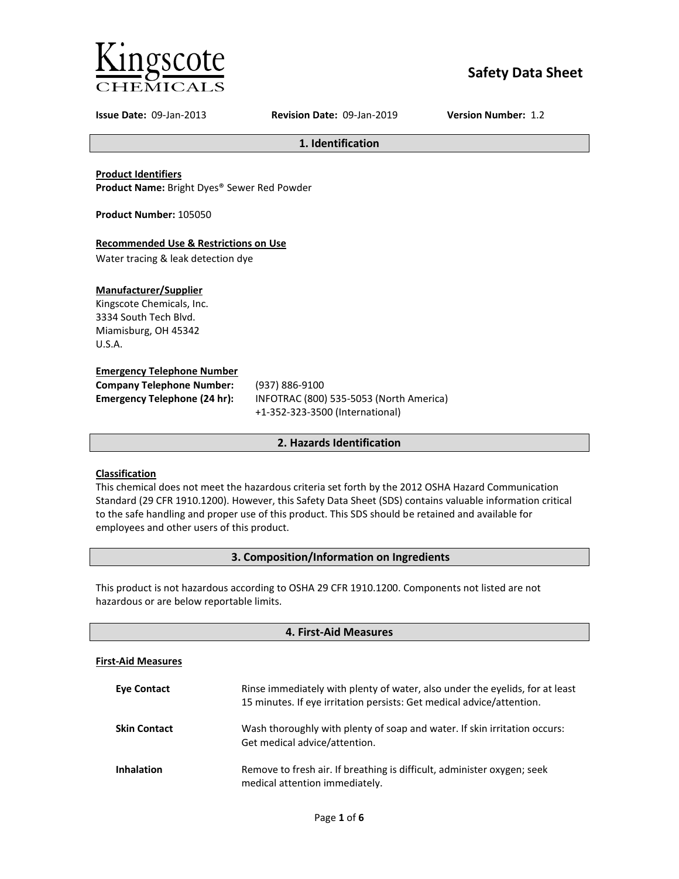

# **Safety Data Sheet**

**Issue Date:** 09-Jan-2013 **Revision Date:** 09-Jan-2019 **Version Number:** 1.2

**1. Identification**

**Product Identifiers**

**Product Name:** Bright Dyes® Sewer Red Powder

**Product Number:** 105050

# **Recommended Use & Restrictions on Use**

Water tracing & leak detection dye

# **Manufacturer/Supplier**

Kingscote Chemicals, Inc. 3334 South Tech Blvd. Miamisburg, OH 45342 U.S.A.

# **Emergency Telephone Number**

| <b>Company Telephone Number:</b> | (93)       |
|----------------------------------|------------|
| Emergency Telephone (24 hr):     | <b>INF</b> |
|                                  |            |

**Company Telephone Number:** (937) 886-9100 **Emergency Telephone (24 hr):** INFOTRAC (800) 535-5053 (North America) +1-352-323-3500 (International)

# **2. Hazards Identification**

# **Classification**

This chemical does not meet the hazardous criteria set forth by the 2012 OSHA Hazard Communication Standard (29 CFR 1910.1200). However, this Safety Data Sheet (SDS) contains valuable information critical to the safe handling and proper use of this product. This SDS should be retained and available for employees and other users of this product.

# **3. Composition/Information on Ingredients**

This product is not hazardous according to OSHA 29 CFR 1910.1200. Components not listed are not hazardous or are below reportable limits.

| 4. First-Aid Measures     |                                                                                                                                                       |
|---------------------------|-------------------------------------------------------------------------------------------------------------------------------------------------------|
| <b>First-Aid Measures</b> |                                                                                                                                                       |
| <b>Eve Contact</b>        | Rinse immediately with plenty of water, also under the eyelids, for at least<br>15 minutes. If eye irritation persists: Get medical advice/attention. |
| <b>Skin Contact</b>       | Wash thoroughly with plenty of soap and water. If skin irritation occurs:<br>Get medical advice/attention.                                            |
| <b>Inhalation</b>         | Remove to fresh air. If breathing is difficult, administer oxygen; seek<br>medical attention immediately.                                             |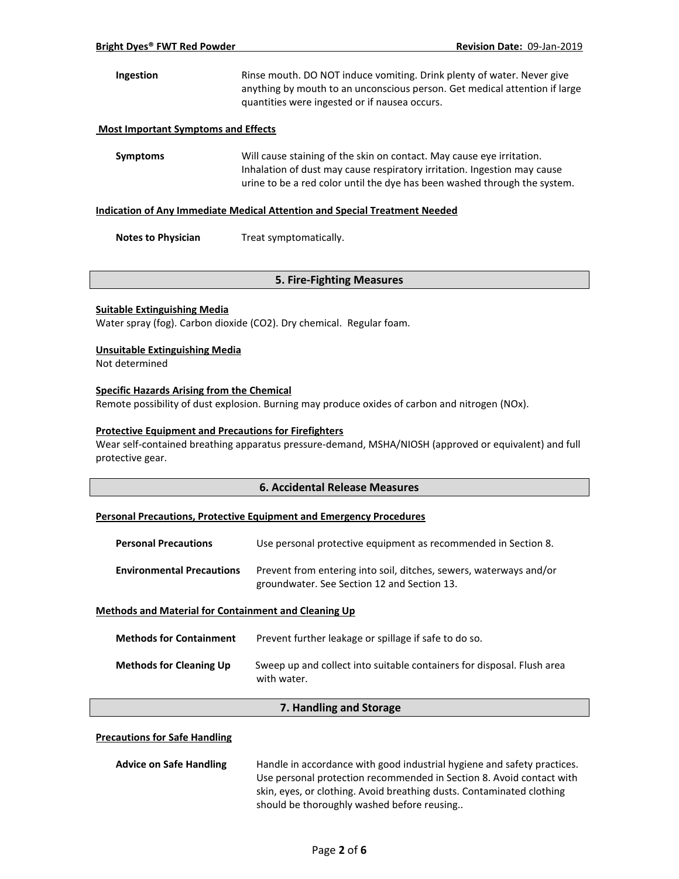# **Ingestion** Rinse mouth. DO NOT induce vomiting. Drink plenty of water. Never give anything by mouth to an unconscious person. Get medical attention if large quantities were ingested or if nausea occurs.

#### **Most Important Symptoms and Effects**

**Symptoms** Will cause staining of the skin on contact. May cause eye irritation. Inhalation of dust may cause respiratory irritation. Ingestion may cause urine to be a red color until the dye has been washed through the system.

#### **Indication of Any Immediate Medical Attention and Special Treatment Needed**

**Notes to Physician** Treat symptomatically.

### **5. Fire-Fighting Measures**

#### **Suitable Extinguishing Media**

Water spray (fog). Carbon dioxide (CO2). Dry chemical. Regular foam.

#### **Unsuitable Extinguishing Media**

Not determined

#### **Specific Hazards Arising from the Chemical**

Remote possibility of dust explosion. Burning may produce oxides of carbon and nitrogen (NOx).

#### **Protective Equipment and Precautions for Firefighters**

Wear self-contained breathing apparatus pressure-demand, MSHA/NIOSH (approved or equivalent) and full protective gear.

### **6. Accidental Release Measures**

# **Personal Precautions, Protective Equipment and Emergency Procedures**

| <b>Personal Precautions</b>      | Use personal protective equipment as recommended in Section 8.                                                    |
|----------------------------------|-------------------------------------------------------------------------------------------------------------------|
| <b>Environmental Precautions</b> | Prevent from entering into soil, ditches, sewers, waterways and/or<br>groundwater. See Section 12 and Section 13. |

# **Methods and Material for Containment and Cleaning Up**

| <b>Methods for Containment</b> | Prevent further leakage or spillage if safe to do so.                                 |
|--------------------------------|---------------------------------------------------------------------------------------|
| <b>Methods for Cleaning Up</b> | Sweep up and collect into suitable containers for disposal. Flush area<br>with water. |

# **7. Handling and Storage**

#### **Precautions for Safe Handling**

| <b>Advice on Safe Handling</b> | Handle in accordance with good industrial hygiene and safety practices. |
|--------------------------------|-------------------------------------------------------------------------|
|                                | Use personal protection recommended in Section 8. Avoid contact with    |
|                                | skin, eyes, or clothing. Avoid breathing dusts. Contaminated clothing   |
|                                | should be thoroughly washed before reusing                              |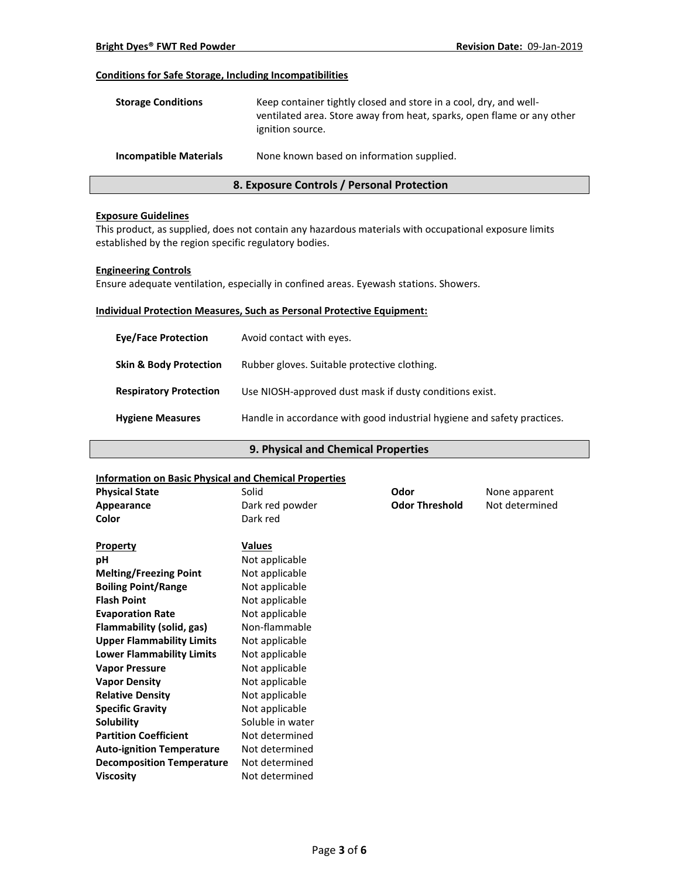#### **Conditions for Safe Storage, Including Incompatibilities**

| <b>Storage Conditions</b>     | Keep container tightly closed and store in a cool, dry, and well-<br>ventilated area. Store away from heat, sparks, open flame or any other<br>ignition source. |
|-------------------------------|-----------------------------------------------------------------------------------------------------------------------------------------------------------------|
| <b>Incompatible Materials</b> | None known based on information supplied.                                                                                                                       |

# **8. Exposure Controls / Personal Protection**

#### **Exposure Guidelines**

This product, as supplied, does not contain any hazardous materials with occupational exposure limits established by the region specific regulatory bodies.

#### **Engineering Controls**

Ensure adequate ventilation, especially in confined areas. Eyewash stations. Showers.

# **Individual Protection Measures, Such as Personal Protective Equipment:**

| <b>Eye/Face Protection</b>        | Avoid contact with eyes.                                                |
|-----------------------------------|-------------------------------------------------------------------------|
| <b>Skin &amp; Body Protection</b> | Rubber gloves. Suitable protective clothing.                            |
| <b>Respiratory Protection</b>     | Use NIOSH-approved dust mask if dusty conditions exist.                 |
| <b>Hygiene Measures</b>           | Handle in accordance with good industrial hygiene and safety practices. |

# **9. Physical and Chemical Properties**

#### **Information on Basic Physical and Chemical Properties**

| <b>Physical State</b>            | Solid            | Odor                  | None apparent  |
|----------------------------------|------------------|-----------------------|----------------|
| Appearance                       | Dark red powder  | <b>Odor Threshold</b> | Not determined |
| Color                            | Dark red         |                       |                |
| <b>Property</b>                  | <b>Values</b>    |                       |                |
| рH                               | Not applicable   |                       |                |
| <b>Melting/Freezing Point</b>    | Not applicable   |                       |                |
| <b>Boiling Point/Range</b>       | Not applicable   |                       |                |
| <b>Flash Point</b>               | Not applicable   |                       |                |
| <b>Evaporation Rate</b>          | Not applicable   |                       |                |
| Flammability (solid, gas)        | Non-flammable    |                       |                |
| <b>Upper Flammability Limits</b> | Not applicable   |                       |                |
| <b>Lower Flammability Limits</b> | Not applicable   |                       |                |
| <b>Vapor Pressure</b>            | Not applicable   |                       |                |
| <b>Vapor Density</b>             | Not applicable   |                       |                |
| <b>Relative Density</b>          | Not applicable   |                       |                |
| <b>Specific Gravity</b>          | Not applicable   |                       |                |
| Solubility                       | Soluble in water |                       |                |
| <b>Partition Coefficient</b>     | Not determined   |                       |                |
| <b>Auto-ignition Temperature</b> | Not determined   |                       |                |
| <b>Decomposition Temperature</b> | Not determined   |                       |                |
| <b>Viscosity</b>                 | Not determined   |                       |                |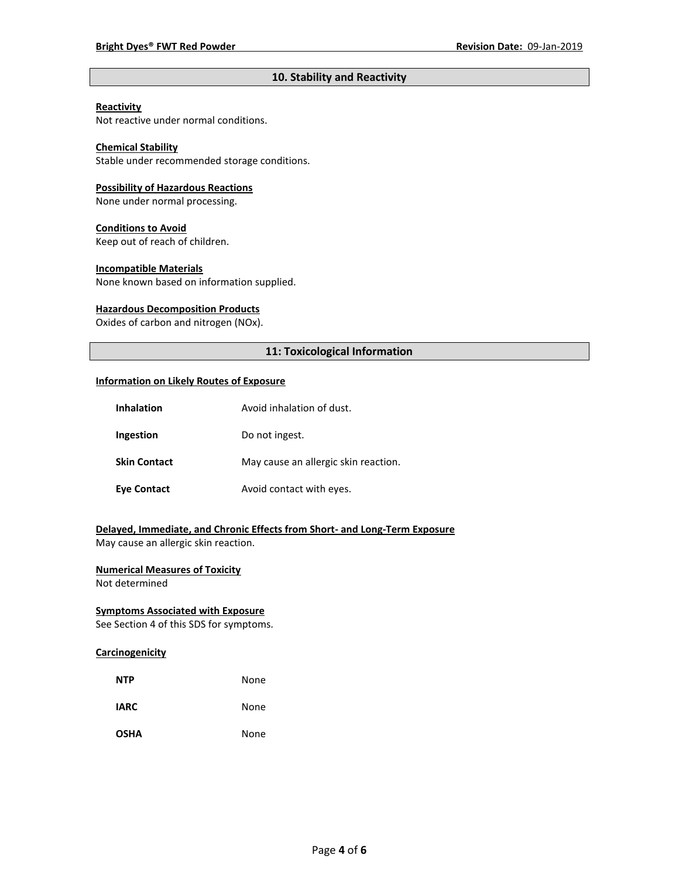# **10. Stability and Reactivity**

# **Reactivity**

Not reactive under normal conditions.

# **Chemical Stability**

Stable under recommended storage conditions.

#### **Possibility of Hazardous Reactions**

None under normal processing.

#### **Conditions to Avoid**

Keep out of reach of children.

#### **Incompatible Materials**

None known based on information supplied.

#### **Hazardous Decomposition Products**

Oxides of carbon and nitrogen (NOx).

# **11: Toxicological Information**

#### **Information on Likely Routes of Exposure**

| Inhalation          | Avoid inhalation of dust.            |
|---------------------|--------------------------------------|
| Ingestion           | Do not ingest.                       |
| <b>Skin Contact</b> | May cause an allergic skin reaction. |
| <b>Eve Contact</b>  | Avoid contact with eyes.             |

# **Delayed, Immediate, and Chronic Effects from Short- and Long-Term Exposure**

May cause an allergic skin reaction.

# **Numerical Measures of Toxicity**

Not determined

# **Symptoms Associated with Exposure**

See Section 4 of this SDS for symptoms.

### **Carcinogenicity**

| <b>NTP</b>  | None |
|-------------|------|
| <b>IARC</b> | None |
| <b>OSHA</b> | None |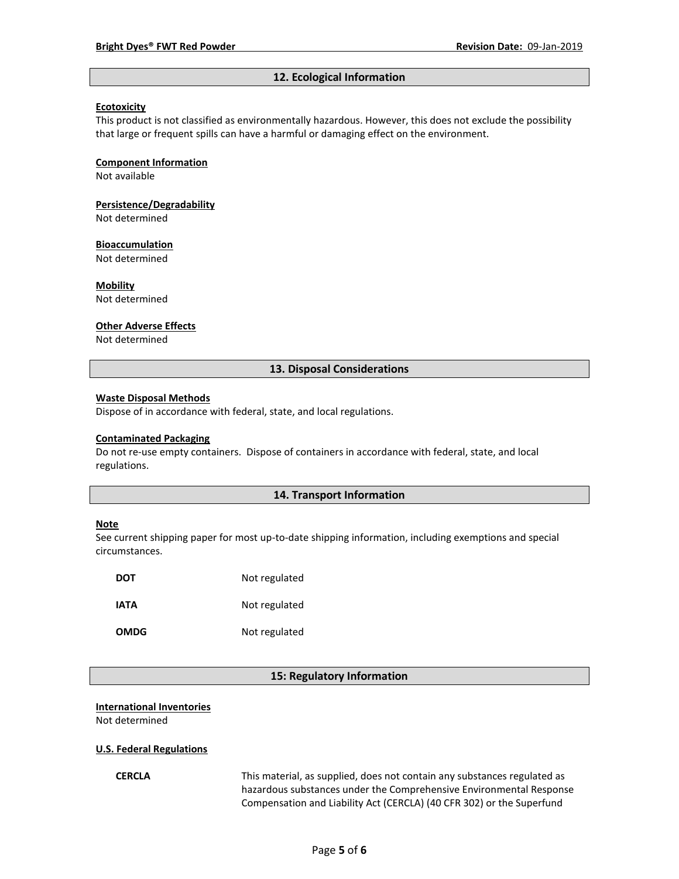#### **12. Ecological Information**

### **Ecotoxicity**

This product is not classified as environmentally hazardous. However, this does not exclude the possibility that large or frequent spills can have a harmful or damaging effect on the environment.

#### **Component Information**

Not available

# **Persistence/Degradability**

Not determined

#### **Bioaccumulation**

Not determined

#### **Mobility**

Not determined

#### **Other Adverse Effects**

Not determined

### **13. Disposal Considerations**

#### **Waste Disposal Methods**

Dispose of in accordance with federal, state, and local regulations.

#### **Contaminated Packaging**

Do not re-use empty containers.Dispose of containers in accordance with federal, state, and local regulations.

#### **14. Transport Information**

#### **Note**

See current shipping paper for most up-to-date shipping information, including exemptions and special circumstances.

| <b>DOT</b>  | Not regulated |
|-------------|---------------|
| IATA        | Not regulated |
| <b>OMDG</b> | Not regulated |

#### **15: Regulatory Information**

#### **International Inventories**

Not determined

#### **U.S. Federal Regulations**

**CERCLA** This material, as supplied, does not contain any substances regulated as hazardous substances under the Comprehensive Environmental Response Compensation and Liability Act (CERCLA) (40 CFR 302) or the Superfund